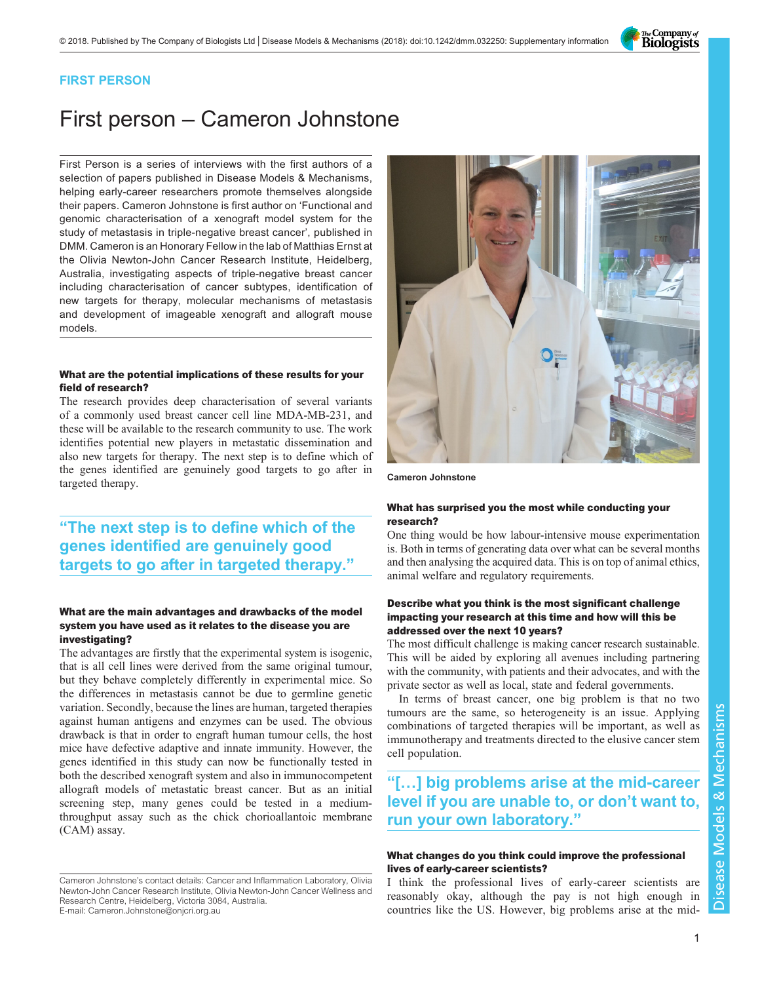The Company of<br>**Biologists** 

### FIRST PERSON

# First person – Cameron Johnstone

First Person is a series of interviews with the first authors of a selection of papers published in Disease Models & Mechanisms, helping early-career researchers promote themselves alongside their papers. Cameron Johnstone is first author on '[Functional and](#page-1-0) [genomic characterisation of a xenograft model system for the](#page-1-0) [study of metastasis in triple-negative breast cancer](#page-1-0)', published in DMM. Cameron is an Honorary Fellow in the lab of Matthias Ernst at the Olivia Newton-John Cancer Research Institute, Heidelberg, Australia, investigating aspects of triple-negative breast cancer including characterisation of cancer subtypes, identification of new targets for therapy, molecular mechanisms of metastasis and development of imageable xenograft and allograft mouse models.

#### What are the potential implications of these results for your field of research?

The research provides deep characterisation of several variants of a commonly used breast cancer cell line MDA-MB-231, and these will be available to the research community to use. The work identifies potential new players in metastatic dissemination and also new targets for therapy. The next step is to define which of the genes identified are genuinely good targets to go after in targeted therapy.

## "The next step is to define which of the genes identified are genuinely good targets to go after in targeted therapy."

#### What are the main advantages and drawbacks of the model system you have used as it relates to the disease you are investigating?

The advantages are firstly that the experimental system is isogenic, that is all cell lines were derived from the same original tumour, but they behave completely differently in experimental mice. So the differences in metastasis cannot be due to germline genetic variation. Secondly, because the lines are human, targeted therapies against human antigens and enzymes can be used. The obvious drawback is that in order to engraft human tumour cells, the host mice have defective adaptive and innate immunity. However, the genes identified in this study can now be functionally tested in both the described xenograft system and also in immunocompetent allograft models of metastatic breast cancer. But as an initial screening step, many genes could be tested in a mediumthroughput assay such as the chick chorioallantoic membrane (CAM) assay.

Cameron Johnstone's contact details: Cancer and Inflammation Laboratory, Olivia Newton-John Cancer Research Institute, Olivia Newton-John Cancer Wellness and Research Centre, Heidelberg, Victoria 3084, Australia. E-mail: [Cameron.Johnstone@onjcri.org.au](mailto:Cameron.Johnstone@onjcri.org.au)



Cameron Johnstone

#### What has surprised you the most while conducting your research?

One thing would be how labour-intensive mouse experimentation is. Both in terms of generating data over what can be several months and then analysing the acquired data. This is on top of animal ethics, animal welfare and regulatory requirements.

#### Describe what you think is the most significant challenge impacting your research at this time and how will this be addressed over the next 10 years?

The most difficult challenge is making cancer research sustainable. This will be aided by exploring all avenues including partnering with the community, with patients and their advocates, and with the private sector as well as local, state and federal governments.

In terms of breast cancer, one big problem is that no two tumours are the same, so heterogeneity is an issue. Applying combinations of targeted therapies will be important, as well as immunotherapy and treatments directed to the elusive cancer stem cell population.

## "[…] big problems arise at the mid-career level if you are unable to, or don't want to, run your own laboratory."

#### What changes do you think could improve the professional lives of early-career scientists?

I think the professional lives of early-career scientists are reasonably okay, although the pay is not high enough in countries like the US. However, big problems arise at the mid-